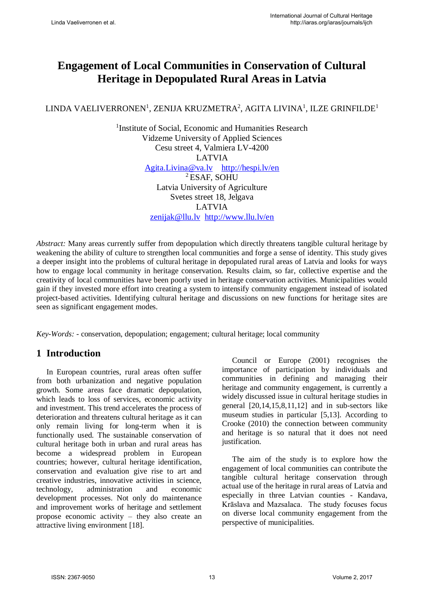# **Engagement of Local Communities in Conservation of Cultural Heritage in Depopulated Rural Areas in Latvia**

### LINDA VAELIVERRONEN $^{\rm l}$ , ZENIJA KRUZMETRA $^{\rm 2}$ , AGITA LIVINA $^{\rm l}$ , ILZE GRINFILDE $^{\rm l}$

<sup>1</sup>Institute of Social, Economic and Humanities Research Vidzeme University of Applied Sciences Cesu street 4, Valmiera LV-4200 LATVIA [Agita.Livina@va.lv](mailto:Agita.Livina@va.lv) <http://hespi.lv/en> <sup>2</sup>ESAF, SOHU Latvia University of Agriculture Svetes street 18, Jelgava LATVIA

[zenijak@llu.lv](mailto:zenijak@llu.lv) <http://www.llu.lv/en>

*Abstract:* Many areas currently suffer from depopulation which directly threatens tangible cultural heritage by weakening the ability of culture to strengthen local communities and forge a sense of identity. This study gives a deeper insight into the problems of cultural heritage in depopulated rural areas of Latvia and looks for ways how to engage local community in heritage conservation. Results claim, so far, collective expertise and the creativity of local communities have been poorly used in heritage conservation activities. Municipalities would gain if they invested more effort into creating a system to intensify community engagement instead of isolated project-based activities. Identifying cultural heritage and discussions on new functions for heritage sites are seen as significant engagement modes.

*Key-Words: -* conservation, depopulation; engagement; cultural heritage; local community

## **1 Introduction**

In European countries, rural areas often suffer from both urbanization and negative population growth. Some areas face dramatic depopulation, which leads to loss of services, economic activity and investment. This trend accelerates the process of deterioration and threatens cultural heritage as it can only remain living for long-term when it is functionally used. The sustainable conservation of cultural heritage both in urban and rural areas has become a widespread problem in European countries; however, cultural heritage identification, conservation and evaluation give rise to art and creative industries, innovative activities in science, technology, administration and economic development processes. Not only do maintenance and improvement works of heritage and settlement propose economic activity – they also create an attractive living environment [18].

Council or Europe (2001) recognises the importance of participation by individuals and communities in defining and managing their heritage and community engagement, is currently a widely discussed issue in cultural heritage studies in general [20,14,15,8,11,12] and in sub-sectors like museum studies in particular [5,13]. According to Crooke (2010) the connection between community and heritage is so natural that it does not need justification.

The aim of the study is to explore how the engagement of local communities can contribute the tangible cultural heritage conservation through actual use of the heritage in rural areas of Latvia and especially in three Latvian counties - Kandava, Krāslava and Mazsalaca. The study focuses focus on diverse local community engagement from the perspective of municipalities.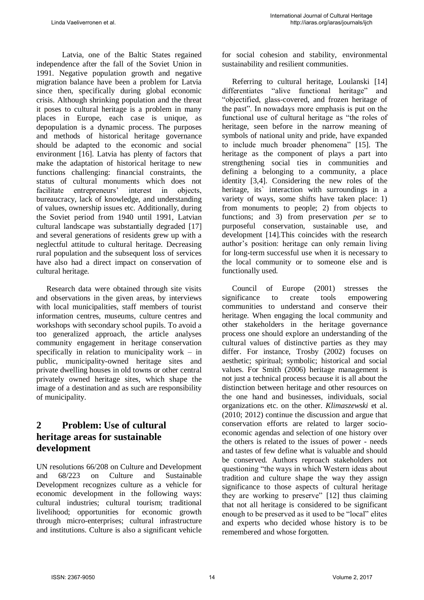Latvia, one of the Baltic States regained independence after the fall of the Soviet Union in 1991. Negative population growth and negative migration balance have been a problem for Latvia since then, specifically during global economic crisis. Although shrinking population and the threat it poses to cultural heritage is a problem in many places in Europe, each case is unique, as depopulation is a dynamic process. The purposes and methods of historical heritage governance should be adapted to the economic and social environment [16]. Latvia has plenty of factors that make the adaptation of historical heritage to new functions challenging: financial constraints, the status of cultural monuments which does not facilitate entrepreneurs' interest in objects, bureaucracy, lack of knowledge, and understanding of values, ownership issues etc. Additionally, during the Soviet period from 1940 until 1991, Latvian cultural landscape was substantially degraded [17] and several generations of residents grew up with a neglectful attitude to cultural heritage. Decreasing rural population and the subsequent loss of services have also had a direct impact on conservation of cultural heritage.

Research data were obtained through site visits and observations in the given areas, by interviews with local municipalities, staff members of tourist information centres, museums, culture centres and workshops with secondary school pupils. To avoid a too generalized approach, the article analyses community engagement in heritage conservation specifically in relation to municipality work – in public, municipality-owned heritage sites and private dwelling houses in old towns or other central privately owned heritage sites, which shape the image of a destination and as such are responsibility of municipality.

## **2 Problem: Use of cultural heritage areas for sustainable development**

UN resolutions 66/208 on Culture and Development and 68/223 on Culture and Sustainable Development recognizes culture as a vehicle for economic development in the following ways: cultural industries; cultural tourism; traditional livelihood; opportunities for economic growth through micro-enterprises; cultural infrastructure and institutions. Culture is also a significant vehicle for social cohesion and stability, environmental sustainability and resilient communities.

Referring to cultural heritage, Loulanski [14] differentiates "alive functional heritage" and "objectified, glass-covered, and frozen heritage of the past". In nowadays more emphasis is put on the functional use of cultural heritage as "the roles of heritage, seen before in the narrow meaning of symbols of national unity and pride, have expanded to include much broader phenomena" [15]. The heritage as the component of plays a part into strengthening social ties in communities and defining a belonging to a community, a place identity [3,4]. Considering the new roles of the heritage, its' interaction with surroundings in a variety of ways, some shifts have taken place: 1) from monuments to people; 2) from objects to functions; and 3) from preservation *per se* to purposeful conservation, sustainable use, and development [14].This coincides with the research author's position: heritage can only remain living for long-term successful use when it is necessary to the local community or to someone else and is functionally used.

Council of Europe (2001) stresses the significance to create tools empowering communities to understand and conserve their heritage. When engaging the local community and other stakeholders in the heritage governance process one should explore an understanding of the cultural values of distinctive parties as they may differ. For instance, Trosby (2002) focuses on aesthetic; spiritual; symbolic; historical and social values. For Smith (2006) heritage management is not just a technical process because it is all about the distinction between heritage and other resources on the one hand and businesses, individuals, social organizations etc. on the other. *Klimaszewski* et al. (2010; 2012) continue the discussion and argue that conservation efforts are related to larger socioeconomic agendas and selection of one history over the others is related to the issues of power - needs and tastes of few define what is valuable and should be conserved. Authors reproach stakeholders not questioning "the ways in which Western ideas about tradition and culture shape the way they assign significance to those aspects of cultural heritage they are working to preserve" [12] thus claiming that not all heritage is considered to be significant enough to be preserved as it used to be "local" elites and experts who decided whose history is to be remembered and whose forgotten.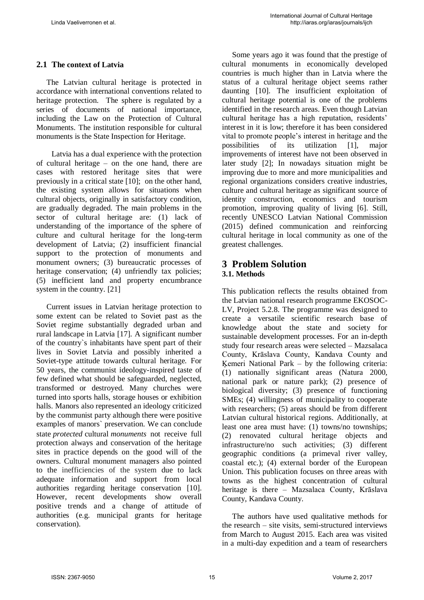### **2.1 The context of Latvia**

The Latvian cultural heritage is protected in accordance with international conventions related to heritage protection. The sphere is regulated by a series of documents of national importance, including the Law on the Protection of Cultural Monuments. The institution responsible for cultural monuments is the State Inspection for Heritage.

Latvia has a dual experience with the protection of cultural heritage – on the one hand, there are cases with restored heritage sites that were previously in a critical state [10]; on the other hand, the existing system allows for situations when cultural objects, originally in satisfactory condition, are gradually degraded. The main problems in the sector of cultural heritage are: (1) lack of understanding of the importance of the sphere of culture and cultural heritage for the long-term development of Latvia; (2) insufficient financial support to the protection of monuments and monument owners; (3) bureaucratic processes of heritage conservation; (4) unfriendly tax policies; (5) inefficient land and property encumbrance system in the country. [21]

Current issues in Latvian heritage protection to some extent can be related to Soviet past as the Soviet regime substantially degraded urban and rural landscape in Latvia [17]. A significant number of the country`s inhabitants have spent part of their lives in Soviet Latvia and possibly inherited a Soviet-type attitude towards cultural heritage. For 50 years, the communist ideology-inspired taste of few defined what should be safeguarded, neglected, transformed or destroyed. Many churches were turned into sports halls, storage houses or exhibition halls. Manors also represented an ideology criticized by the communist party although there were positive examples of manors` preservation. We can conclude state *protected* cultural *monuments* not receive full protection always and conservation of the heritage sites in practice depends on the good will of the owners. Cultural monument managers also pointed to the inefficiencies of the system due to lack adequate information and support from local authorities regarding heritage conservation [10]. However, recent developments show overall positive trends and a change of attitude of authorities (e.g. municipal grants for heritage conservation).

Some years ago it was found that the prestige of cultural monuments in economically developed countries is much higher than in Latvia where the status of a cultural heritage object seems rather daunting [10]. The insufficient exploitation of cultural heritage potential is one of the problems identified in the research areas. Even though Latvian cultural heritage has a high reputation, residents' interest in it is low; therefore it has been considered vital to promote people's interest in heritage and the possibilities of its utilization [1], major improvements of interest have not been observed in later study [2]; In nowadays situation might be improving due to more and more municipalities and regional organizations considers creative industries, culture and cultural heritage as significant source of identity construction, economics and tourism promotion, improving quality of living [6]. Still, recently UNESCO Latvian National Commission (2015) defined communication and reinforcing cultural heritage in local community as one of the greatest challenges.

#### **3 Problem Solution 3.1. Methods**

This publication reflects the results obtained from the Latvian national research programme EKOSOC-LV, Project 5.2.8. The programme was designed to create a versatile scientific research base of knowledge about the state and society for sustainable development processes. For an in-depth study four research areas were selected – Mazsalaca County, Krāslava County, Kandava County and Ķemeri National Park – by the following criteria: (1) nationally significant areas (Natura 2000, national park or nature park); (2) presence of biological diversity; (3) presence of functioning SMEs; (4) willingness of municipality to cooperate with researchers; (5) areas should be from different Latvian cultural historical regions. Additionally, at least one area must have: (1) towns/no townships; (2) renovated cultural heritage objects and infrastructure/no such activities; (3) different geographic conditions (a primeval river valley, coastal etc.); (4) external border of the European Union. This publication focuses on three areas with towns as the highest concentration of cultural heritage is there – Mazsalaca County, Krāslava County, Kandava County.

The authors have used qualitative methods for the research – site visits, semi-structured interviews from March to August 2015. Each area was visited in a multi-day expedition and a team of researchers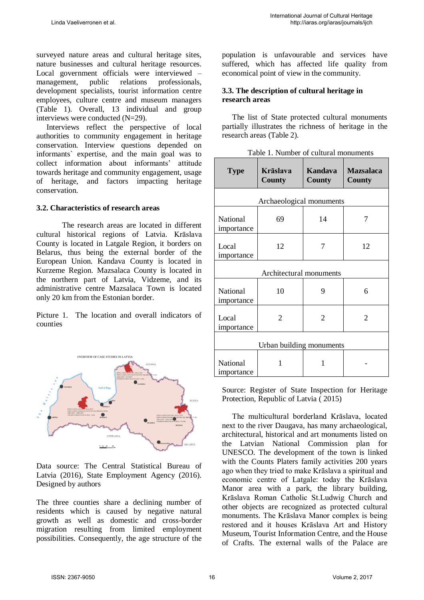surveyed nature areas and cultural heritage sites, nature businesses and cultural heritage resources. Local government officials were interviewed – management, public relations professionals, development specialists, tourist information centre employees, culture centre and museum managers (Table 1). Overall, 13 individual and group interviews were conducted (N=29).

Interviews reflect the perspective of local authorities to community engagement in heritage conservation. Interview questions depended on informants` expertise, and the main goal was to collect information about informants' attitude towards heritage and community engagement, usage of heritage, and factors impacting heritage conservation.

#### **3.2. Characteristics of research areas**

 The research areas are located in different cultural historical regions of Latvia. Krāslava County is located in Latgale Region, it borders on Belarus, thus being the external border of the European Union. Kandava County is located in Kurzeme Region. Mazsalaca County is located in the northern part of Latvia, Vidzeme, and its administrative centre Mazsalaca Town is located only 20 km from the Estonian border.

Picture 1. The location and overall indicators of counties



Data source: The Central Statistical Bureau of Latvia (2016), State Employment Agency (2016). Designed by authors

The three counties share a declining number of residents which is caused by negative natural growth as well as domestic and cross-border migration resulting from limited employment possibilities. Consequently, the age structure of the population is unfavourable and services have suffered, which has affected life quality from economical point of view in the community.

#### **3.3. The description of cultural heritage in research areas**

The list of State protected cultural monuments partially illustrates the richness of heritage in the research areas (Table 2).

|  |  | Table 1. Number of cultural monuments |
|--|--|---------------------------------------|
|--|--|---------------------------------------|

| <b>Type</b>                   | <b>Krāslava</b><br>County | Kandava<br><b>County</b> | <b>Mazsalaca</b><br><b>County</b> |  |  |
|-------------------------------|---------------------------|--------------------------|-----------------------------------|--|--|
| Archaeological monuments      |                           |                          |                                   |  |  |
| <b>National</b><br>importance | 69                        | 14                       | 7                                 |  |  |
| Local<br>importance           | 12                        | 7                        | 12                                |  |  |
| Architectural monuments       |                           |                          |                                   |  |  |
| National<br>importance        | 10                        | 9                        | 6                                 |  |  |
| Local<br>importance           | 2                         | $\overline{2}$           | $\overline{2}$                    |  |  |
| Urban building monuments      |                           |                          |                                   |  |  |
| <b>National</b><br>importance | 1                         | 1                        |                                   |  |  |

Source: Register of State Inspection for Heritage Protection, Republic of Latvia ( 2015)

The multicultural borderland Krāslava, located next to the river Daugava, has many archaeological, architectural, historical and art monuments listed on the Latvian National Commission plan for UNESCO. The development of the town is linked with the Counts Platers family activities 200 years ago when they tried to make Krāslava a spiritual and economic centre of Latgale: today the Krāslava Manor area with a park, the library building, Krāslava Roman Catholic St.Ludwig Church and other objects are recognized as protected cultural monuments. The Krāslava Manor complex is being restored and it houses Krāslava Art and History Museum, Tourist Information Centre, and the House of Crafts. The external walls of the Palace are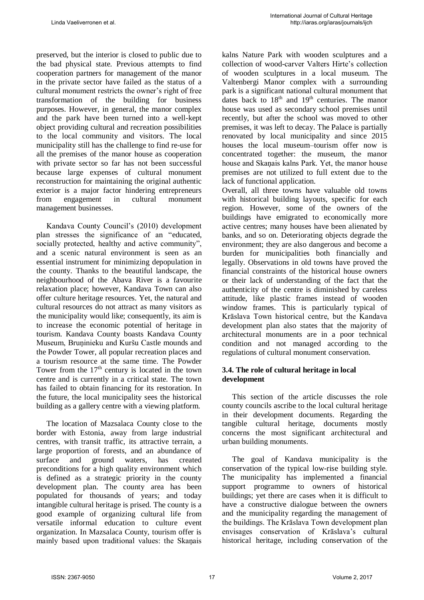preserved, but the interior is closed to public due to the bad physical state. Previous attempts to find cooperation partners for management of the manor in the private sector have failed as the status of a cultural monument restricts the owner's right of free transformation of the building for business purposes. However, in general, the manor complex and the park have been turned into a well-kept object providing cultural and recreation possibilities to the local community and visitors. The local municipality still has the challenge to find re-use for all the premises of the manor house as cooperation with private sector so far has not been successful because large expenses of cultural monument reconstruction for maintaining the original authentic exterior is a major factor hindering entrepreneurs from engagement in cultural monument management businesses.

Kandava County Council's (2010) development plan stresses the significance of an "educated, socially protected, healthy and active community", and a scenic natural environment is seen as an essential instrument for minimizing depopulation in the county. Thanks to the beautiful landscape, the neighbourhood of the Abava River is a favourite relaxation place; however, Kandava Town can also offer culture heritage resources. Yet, the natural and cultural resources do not attract as many visitors as the municipality would like; consequently, its aim is to increase the economic potential of heritage in tourism. Kandava County boasts Kandava County Museum, Bruņinieku and Kuršu Castle mounds and the Powder Tower, all popular recreation places and a tourism resource at the same time. The Powder Tower from the  $17<sup>th</sup>$  century is located in the town centre and is currently in a critical state. The town has failed to obtain financing for its restoration. In the future, the local municipality sees the historical building as a gallery centre with a viewing platform.

The location of Mazsalaca County close to the border with Estonia, away from large industrial centres, with transit traffic, its attractive terrain, a large proportion of forests, and an abundance of surface and ground waters, has created preconditions for a high quality environment which is defined as a strategic priority in the county development plan. The county area has been populated for thousands of years; and today intangible cultural heritage is prised. The county is a good example of organizing cultural life from versatile informal education to culture event organization. In Mazsalaca County, tourism offer is mainly based upon traditional values: the Skaņais kalns Nature Park with wooden sculptures and a collection of wood-carver Valters Hirte's collection of wooden sculptures in a local museum. The Valtenbergi Manor complex with a surrounding park is a significant national cultural monument that dates back to  $18<sup>th</sup>$  and  $19<sup>th</sup>$  centuries. The manor house was used as secondary school premises until recently, but after the school was moved to other premises, it was left to decay. The Palace is partially renovated by local municipality and since 2015 houses the local museum–tourism offer now is concentrated together: the museum, the manor house and Skaņais kalns Park. Yet, the manor house premises are not utilized to full extent due to the lack of functional application.

Overall, all three towns have valuable old towns with historical building layouts, specific for each region. However, some of the owners of the buildings have emigrated to economically more active centres; many houses have been alienated by banks, and so on. Deteriorating objects degrade the environment; they are also dangerous and become a burden for municipalities both financially and legally. Observations in old towns have proved the financial constraints of the historical house owners or their lack of understanding of the fact that the authenticity of the centre is diminished by careless attitude, like plastic frames instead of wooden window frames. This is particularly typical of Krāslava Town historical centre, but the Kandava development plan also states that the majority of architectural monuments are in a poor technical condition and not managed according to the regulations of cultural monument conservation.

#### **3.4. The role of cultural heritage in local development**

This section of the article discusses the role county councils ascribe to the local cultural heritage in their development documents. Regarding the tangible cultural heritage, documents mostly concerns the most significant architectural and urban building monuments.

The goal of Kandava municipality is the conservation of the typical low-rise building style. The municipality has implemented a financial support programme to owners of historical buildings; yet there are cases when it is difficult to have a constructive dialogue between the owners and the municipality regarding the management of the buildings. The Krāslava Town development plan envisages conservation of Krāslava's cultural historical heritage, including conservation of the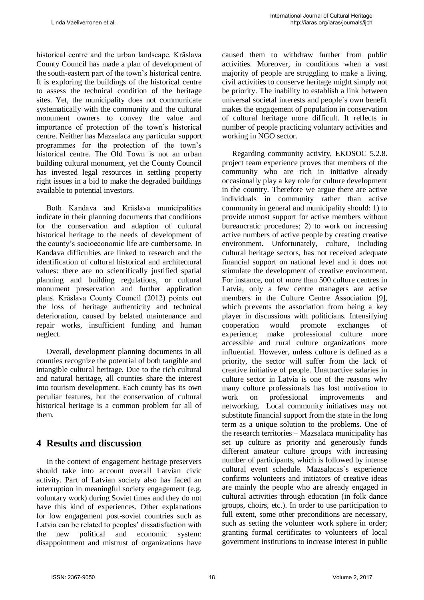historical centre and the urban landscape. Krāslava County Council has made a plan of development of the south-eastern part of the town's historical centre. It is exploring the buildings of the historical centre to assess the technical condition of the heritage sites. Yet, the municipality does not communicate systematically with the community and the cultural monument owners to convey the value and importance of protection of the town's historical centre. Neither has Mazsalaca any particular support programmes for the protection of the town's historical centre. The Old Town is not an urban building cultural monument, yet the County Council has invested legal resources in settling property right issues in a bid to make the degraded buildings available to potential investors.

Both Kandava and Krāslava municipalities indicate in their planning documents that conditions for the conservation and adaption of cultural historical heritage to the needs of development of the county's socioeconomic life are cumbersome. In Kandava difficulties are linked to research and the identification of cultural historical and architectural values: there are no scientifically justified spatial planning and building regulations, or cultural monument preservation and further application plans. Krāslava County Council (2012) points out the loss of heritage authenticity and technical deterioration, caused by belated maintenance and repair works, insufficient funding and human neglect.

Overall, development planning documents in all counties recognize the potential of both tangible and intangible cultural heritage. Due to the rich cultural and natural heritage, all counties share the interest into tourism development. Each county has its own peculiar features, but the conservation of cultural historical heritage is a common problem for all of them.

## **4 Results and discussion**

In the context of engagement heritage preservers should take into account overall Latvian civic activity. Part of Latvian society also has faced an interruption in meaningful society engagement (e.g. voluntary work) during Soviet times and they do not have this kind of experiences. Other explanations for low engagement post-soviet countries such as Latvia can be related to peoples' dissatisfaction with the new political and economic system: disappointment and mistrust of organizations have caused them to withdraw further from public activities. Moreover, in conditions when a vast majority of people are struggling to make a living, civil activities to conserve heritage might simply not be priority. The inability to establish a link between universal societal interests and people`s own benefit makes the engagement of population in conservation of cultural heritage more difficult. It reflects in number of people practicing voluntary activities and working in NGO sector.

Regarding community activity, EKOSOC 5.2.8. project team experience proves that members of the community who are rich in initiative already occasionally play a key role for culture development in the country. Therefore we argue there are active individuals in community rather than active community in general and municipality should: 1) to provide utmost support for active members without bureaucratic procedures; 2) to work on increasing active numbers of active people by creating creative environment. Unfortunately, culture, including cultural heritage sectors, has not received adequate financial support on national level and it does not stimulate the development of creative environment. For instance, out of more than 500 culture centres in Latvia, only a few centre managers are active members in the Culture Centre Association [9], which prevents the association from being a key player in discussions with politicians. Intensifying cooperation would promote exchanges of experience; make professional culture more accessible and rural culture organizations more influential. However, unless culture is defined as a priority, the sector will suffer from the lack of creative initiative of people. Unattractive salaries in culture sector in Latvia is one of the reasons why many culture professionals has lost motivation to work on professional improvements and networking. Local community initiatives may not substitute financial support from the state in the long term as a unique solution to the problems. One of the research territories – Mazsalaca municipality has set up culture as priority and generously funds different amateur culture groups with increasing number of participants, which is followed by intense cultural event schedule. Mazsalacas`s experience confirms volunteers and initiators of creative ideas are mainly the people who are already engaged in cultural activities through education (in folk dance groups, choirs, etc.). In order to use participation to full extent, some other preconditions are necessary, such as setting the volunteer work sphere in order; granting formal certificates to volunteers of local government institutions to increase interest in public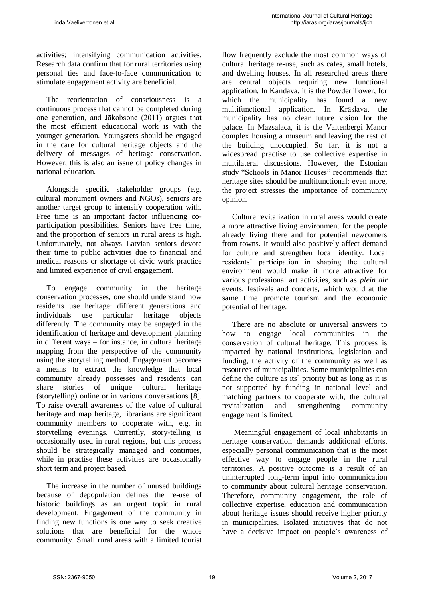activities; intensifying communication activities. Research data confirm that for rural territories using personal ties and face-to-face communication to stimulate engagement activity are beneficial.

The reorientation of consciousness is a continuous process that cannot be completed during one generation, and Jākobsone (2011) argues that the most efficient educational work is with the younger generation. Youngsters should be engaged in the care for cultural heritage objects and the delivery of messages of heritage conservation. However, this is also an issue of policy changes in national education.

Alongside specific stakeholder groups (e.g. cultural monument owners and NGOs), seniors are another target group to intensify cooperation with. Free time is an important factor influencing coparticipation possibilities. Seniors have free time, and the proportion of seniors in rural areas is high. Unfortunately, not always Latvian seniors devote their time to public activities due to financial and medical reasons or shortage of civic work practice and limited experience of civil engagement.

To engage community in the heritage conservation processes, one should understand how residents use heritage: different generations and individuals use particular heritage objects differently. The community may be engaged in the identification of heritage and development planning in different ways – for instance, in cultural heritage mapping from the perspective of the community using the storytelling method. Engagement becomes a means to extract the knowledge that local community already possesses and residents can share stories of unique cultural heritage (storytelling) online or in various conversations [8]. To raise overall awareness of the value of cultural heritage and map heritage, librarians are significant community members to cooperate with, e.g. in storytelling evenings. Currently, story-telling is occasionally used in rural regions, but this process should be strategically managed and continues, while in practise these activities are occasionally short term and project based.

The increase in the number of unused buildings because of depopulation defines the re-use of historic buildings as an urgent topic in rural development. Engagement of the community in finding new functions is one way to seek creative solutions that are beneficial for the whole community. Small rural areas with a limited tourist flow frequently exclude the most common ways of cultural heritage re-use, such as cafes, small hotels, and dwelling houses. In all researched areas there are central objects requiring new functional application. In Kandava, it is the Powder Tower, for which the municipality has found a new multifunctional application. In Krāslava, the municipality has no clear future vision for the palace. In Mazsalaca, it is the Valtenbergi Manor complex housing a museum and leaving the rest of the building unoccupied. So far, it is not a widespread practise to use collective expertise in multilateral discussions. However, the Estonian study "Schools in Manor Houses" recommends that heritage sites should be multifunctional; even more, the project stresses the importance of community opinion.

Culture revitalization in rural areas would create a more attractive living environment for the people already living there and for potential newcomers from towns. It would also positively affect demand for culture and strengthen local identity. Local residents' participation in shaping the cultural environment would make it more attractive for various professional art activities, such as *plein air*  events, festivals and concerts, which would at the same time promote tourism and the economic potential of heritage.

There are no absolute or universal answers to how to engage local communities in the conservation of cultural heritage. This process is impacted by national institutions, legislation and funding, the activity of the community as well as resources of municipalities. Some municipalities can define the culture as its` priority but as long as it is not supported by funding in national level and matching partners to cooperate with, the cultural revitalization and strengthening community engagement is limited.

 Meaningful engagement of local inhabitants in heritage conservation demands additional efforts, especially personal communication that is the most effective way to engage people in the rural territories. A positive outcome is a result of an uninterrupted long-term input into communication to community about cultural heritage conservation. Therefore, community engagement, the role of collective expertise, education and communication about heritage issues should receive higher priority in municipalities. Isolated initiatives that do not have a decisive impact on people's awareness of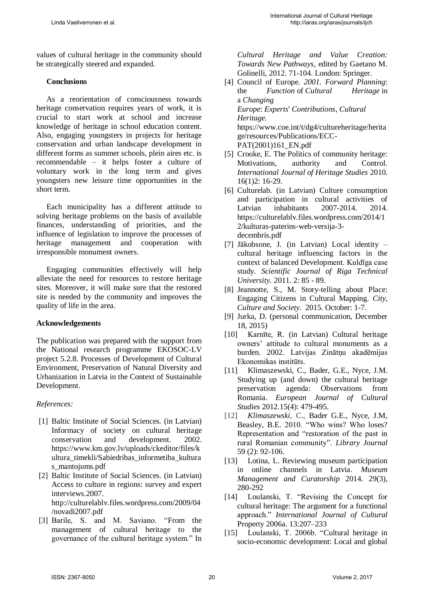values of cultural heritage in the community should be strategically steered and expanded.

#### **Conclusions**

As a reorientation of consciousness towards heritage conservation requires years of work, it is crucial to start work at school and increase knowledge of heritage in school education content. Also, engaging youngsters in projects for heritage conservation and urban landscape development in different forms as summer schools, plein aires etc. is recommendable – it helps foster a culture of voluntary work in the long term and gives youngsters new leisure time opportunities in the short term.

Each municipality has a different attitude to solving heritage problems on the basis of available finances, understanding of priorities, and the influence of legislation to improve the processes of heritage management and cooperation with irresponsible monument owners.

Engaging communities effectively will help alleviate the need for resources to restore heritage sites. Moreover, it will make sure that the restored site is needed by the community and improves the quality of life in the area.

#### **Acknowledgements**

The publication was prepared with the support from the National research programme EKOSOC-LV project 5.2.8. Processes of Development of Cultural Environment, Preservation of Natural Diversity and Urbanization in Latvia in the Context of Sustainable Development.

#### *References:*

- [1] Baltic Institute of Social Sciences. (in Latvian) Informacy of society on cultural heritage conservation and development. 2002. https://www.km.gov.lv/uploads/ckeditor/files/k ultura\_timekli/Sabiedribas\_informetiba\_kultura s\_mantojums.pdf
- [2] Baltic Institute of Social Sciences. (in Latvian) Access to culture in regions: survey and expert interviews.2007. http://culturelablv.files.wordpress.com/2009/04 /novadi2007.pdf
- [3] Barile, S. and M. Saviano. "From the management of cultural heritage to the governance of the cultural heritage system." In

*Cultural Heritage and Value Creation: Towards New Pathways*, edited by Gaetano M. Golinelli, 2012. 71-104. London: Springer.

- [4] Council of Europe*. 2001. Forward Planning*: the *Function* of *Cultural Heritage* in a *Changing Europe*: *Experts*' *Contributions*, *Cultural Heritage.* [https://www.coe.int/t/dg4/cultureheritage/herita](https://www.coe.int/t/dg4/cultureheritage/heritage/resources/Publications/ECC-PAT(2001)161_EN.pdf) [ge/resources/Publications/ECC-](https://www.coe.int/t/dg4/cultureheritage/heritage/resources/Publications/ECC-PAT(2001)161_EN.pdf)[PAT\(2001\)161\\_EN.pdf](https://www.coe.int/t/dg4/cultureheritage/heritage/resources/Publications/ECC-PAT(2001)161_EN.pdf)
- [5] Crooke, E. The Politics of community heritage: Motivations, authority and Control. *International Journal of Heritage Studies* 2010. 16(1)2: 16-29.
- [6] Culturelab. (in Latvian) Culture consumption and participation in cultural activities of Latvian inhabitants 2007-2014 2014 https://culturelablv.files.wordpress.com/2014/1 2/kulturas-paterins-web-versija-3 decembris.pdf
- [7] Jākobsone, J. (in Latvian) Local identity cultural heritage influencing factors in the context of balanced Development. Kuldīga case study. *Scientific Journal of Riga Technical University.* 2011. 2: 85 - 89.
- [8] Jeannotte, S., M. Story-telling about Place: Engaging Citizens in Cultural Mapping. *City, Culture and Society.* 2015. October: 1-7.
- [9] Jurka, D. (personal communication, December 18, 2015)
- [10] Karnīte, R. (in Latvian) Cultural heritage owners' attitude to cultural monuments as a burden. 2002. Latvijas Zinātņu akadēmijas Ekonomikas institūts.
- [11] Klimaszewski, C., Bader, G.E., Nyce, J.M. Studying up (and down) the cultural heritage preservation agenda: Observations from Romania. *European Journal of Cultural Studies* 2012.15(4): 479-495.
- [12] *Klimaszewski*, C., Bader G.E., Nyce, J.M, Beasley, B.E. 2010. "Who wins? Who loses? Representation and "restoration of the past in rural Romanian community". *Library Journal* 59 (2): 92-106.
- [13] Lotina, L. Reviewing museum participation in online channels in Latvia. *Museum Management and Curatorship* 2014. 29(3), 280-292
- [14] Loulanski, T. "Revising the Concept for cultural heritage: The argument for a functional approach." *International Journal of Cultural*  Property 2006a. 13:207–233
- [15] Loulanski, T. 2006b. "Cultural heritage in socio-economic development: Local and global